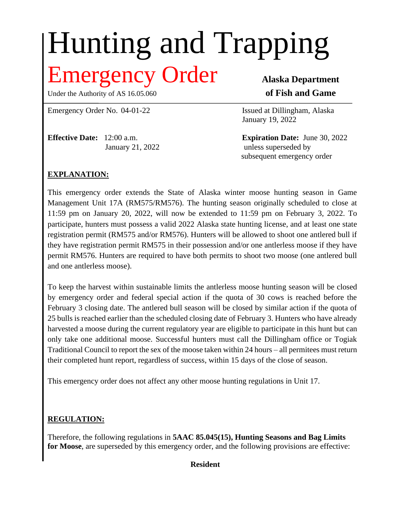# Hunting and Trapping **The Example 2011 COVID-COVID-COVID-COVID-COVID-COVID-COVID-COVID-COVID-COVID-COVID-COVID-COVID-COVID-COVID-COVID-COVID-COVID-COVID-COVID-COVID-COVID-COVID-COVID-COVID-COVID-COVID-COVID-COVID-COVID-COVID-COVID-COVID-COVID-**

Under the Authority of AS 16.05.060 **of Fish and Game** 

Emergency Order No. 04-01-22 **Issued at Dillingham, Alaska** 

**Effective Date:** 12:00 a.m. **Expiration Date:** June 30, 2022

January 19, 2022

January 21, 2022 unless superseded by subsequent emergency order

# **EXPLANATION:**

This emergency order extends the State of Alaska winter moose hunting season in Game Management Unit 17A (RM575/RM576). The hunting season originally scheduled to close at 11:59 pm on January 20, 2022, will now be extended to 11:59 pm on February 3, 2022. To participate, hunters must possess a valid 2022 Alaska state hunting license, and at least one state registration permit (RM575 and/or RM576). Hunters will be allowed to shoot one antlered bull if they have registration permit RM575 in their possession and/or one antlerless moose if they have permit RM576. Hunters are required to have both permits to shoot two moose (one antlered bull and one antlerless moose).

To keep the harvest within sustainable limits the antlerless moose hunting season will be closed by emergency order and federal special action if the quota of 30 cows is reached before the February 3 closing date. The antlered bull season will be closed by similar action if the quota of 25 bulls is reached earlier than the scheduled closing date of February 3. Hunters who have already harvested a moose during the current regulatory year are eligible to participate in this hunt but can only take one additional moose. Successful hunters must call the Dillingham office or Togiak Traditional Council to report the sex of the moose taken within 24 hours – all permitees must return their completed hunt report, regardless of success, within 15 days of the close of season.

This emergency order does not affect any other moose hunting regulations in Unit 17.

# **REGULATION:**

Therefore, the following regulations in **5AAC 85.045(15), Hunting Seasons and Bag Limits for Moose**, are superseded by this emergency order, and the following provisions are effective:

# **Resident**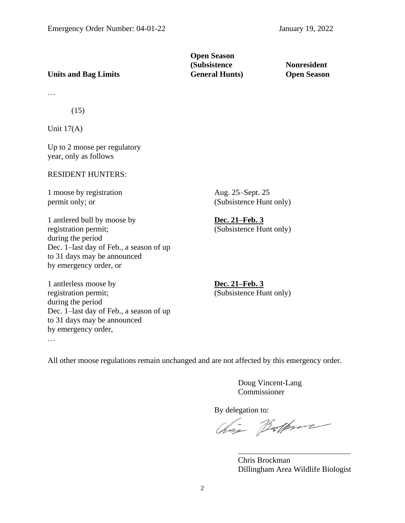# **Open Season (Subsistence Nonresident**

# **Units and Bag Limits General Hunts) Open Season**

…

(15)

Unit  $17(A)$ 

Up to 2 moose per regulatory year, only as follows

### RESIDENT HUNTERS:

1 moose by registration Aug. 25–Sept. 25

1 antlered bull by moose by **Dec. 21–Feb. 3** registration permit; (Subsistence Hunt only) during the period Dec. 1–last day of Feb., a season of up to 31 days may be announced by emergency order, or

1 antlerless moose by **Dec. 21–Feb. 3** registration permit; (Subsistence Hunt only) during the period Dec. 1–last day of Feb., a season of up to 31 days may be announced by emergency order, …

permit only; or (Subsistence Hunt only)

All other moose regulations remain unchanged and are not affected by this emergency order.

Doug Vincent-Lang Commissioner

By delegation to:<br>Chase Boothwave

Chris Brockman Dillingham Area Wildlife Biologist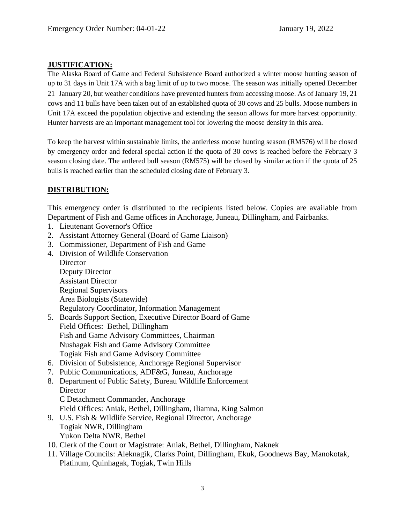# **JUSTIFICATION:**

The Alaska Board of Game and Federal Subsistence Board authorized a winter moose hunting season of up to 31 days in Unit 17A with a bag limit of up to two moose. The season was initially opened December 21–January 20, but weather conditions have prevented hunters from accessing moose. As of January 19, 21 cows and 11 bulls have been taken out of an established quota of 30 cows and 25 bulls. Moose numbers in Unit 17A exceed the population objective and extending the season allows for more harvest opportunity. Hunter harvests are an important management tool for lowering the moose density in this area.

To keep the harvest within sustainable limits, the antlerless moose hunting season (RM576) will be closed by emergency order and federal special action if the quota of 30 cows is reached before the February 3 season closing date. The antlered bull season (RM575) will be closed by similar action if the quota of 25 bulls is reached earlier than the scheduled closing date of February 3.

# **DISTRIBUTION:**

This emergency order is distributed to the recipients listed below. Copies are available from Department of Fish and Game offices in Anchorage, Juneau, Dillingham, and Fairbanks.

- 1. Lieutenant Governor's Office
- 2. Assistant Attorney General (Board of Game Liaison)
- 3. Commissioner, Department of Fish and Game
- 4. Division of Wildlife Conservation

**Director** Deputy Director Assistant Director Regional Supervisors Area Biologists (Statewide) Regulatory Coordinator, Information Management

- 5. Boards Support Section, Executive Director Board of Game Field Offices: Bethel, Dillingham Fish and Game Advisory Committees, Chairman Nushagak Fish and Game Advisory Committee Togiak Fish and Game Advisory Committee
- 6. Division of Subsistence, Anchorage Regional Supervisor
- 7. Public Communications, ADF&G, Juneau, Anchorage
- 8. Department of Public Safety, Bureau Wildlife Enforcement **Director** 
	- C Detachment Commander, Anchorage
	- Field Offices: Aniak, Bethel, Dillingham, Iliamna, King Salmon
- 9. U.S. Fish & Wildlife Service, Regional Director, Anchorage Togiak NWR, Dillingham Yukon Delta NWR, Bethel
- 10. Clerk of the Court or Magistrate: Aniak, Bethel, Dillingham, Naknek
- 11. Village Councils: Aleknagik, Clarks Point, Dillingham, Ekuk, Goodnews Bay, Manokotak, Platinum, Quinhagak, Togiak, Twin Hills